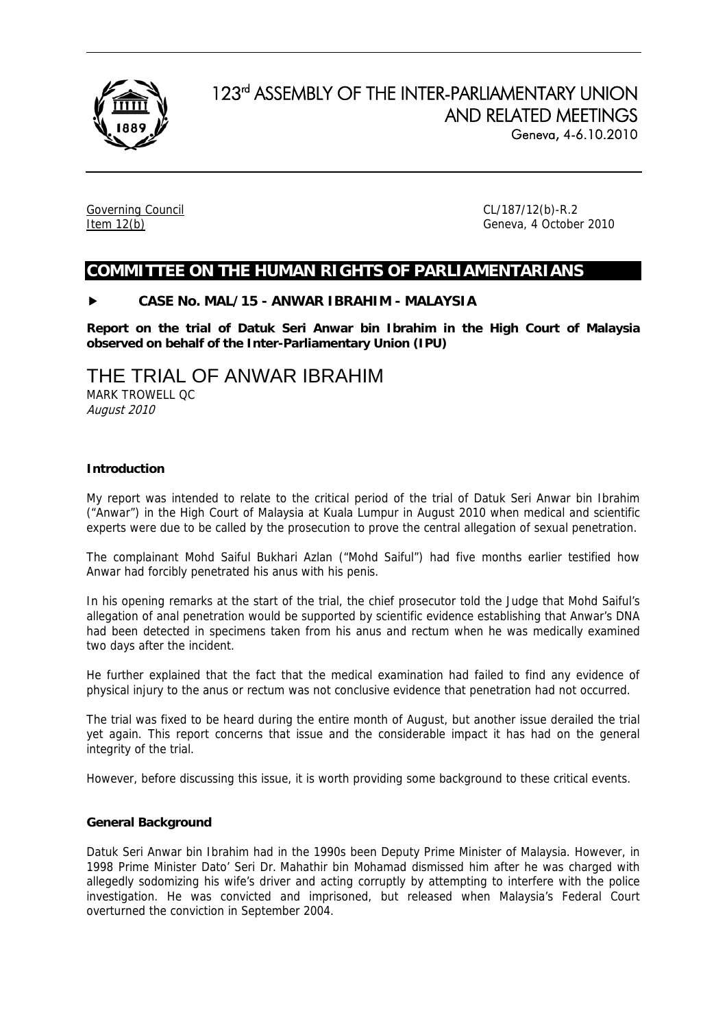

# 123rd ASSEMBLY OF THE INTER-PARLIAMENTARY UNION AND RELATED MEETINGS Geneva, 4-6.10.2010

Governing Council CL/187/12(b)-R.2

Item 12(b) Geneva, 4 October 2010

# **COMMITTEE ON THE HUMAN RIGHTS OF PARLIAMENTARIANS**

# **CASE No. MAL/15 - ANWAR IBRAHIM - MALAYSIA**

**Report on the trial of Datuk Seri Anwar bin Ibrahim in the High Court of Malaysia observed on behalf of the Inter-Parliamentary Union (IPU)** 

# THE TRIAL OF ANWAR IBRAHIM

MARK TROWELL QC August 2010

# **Introduction**

My report was intended to relate to the critical period of the trial of Datuk Seri Anwar bin Ibrahim ("Anwar") in the High Court of Malaysia at Kuala Lumpur in August 2010 when medical and scientific experts were due to be called by the prosecution to prove the central allegation of sexual penetration.

The complainant Mohd Saiful Bukhari Azlan ("Mohd Saiful") had five months earlier testified how Anwar had forcibly penetrated his anus with his penis.

In his opening remarks at the start of the trial, the chief prosecutor told the Judge that Mohd Saiful's allegation of anal penetration would be supported by scientific evidence establishing that Anwar's DNA had been detected in specimens taken from his anus and rectum when he was medically examined two days after the incident.

He further explained that the fact that the medical examination had failed to find any evidence of physical injury to the anus or rectum was not conclusive evidence that penetration had not occurred.

The trial was fixed to be heard during the entire month of August, but another issue derailed the trial yet again. This report concerns that issue and the considerable impact it has had on the general integrity of the trial.

However, before discussing this issue, it is worth providing some background to these critical events.

# **General Background**

Datuk Seri Anwar bin Ibrahim had in the 1990s been Deputy Prime Minister of Malaysia. However, in 1998 Prime Minister Dato' Seri Dr. Mahathir bin Mohamad dismissed him after he was charged with allegedly sodomizing his wife's driver and acting corruptly by attempting to interfere with the police investigation. He was convicted and imprisoned, but released when Malaysia's Federal Court overturned the conviction in September 2004.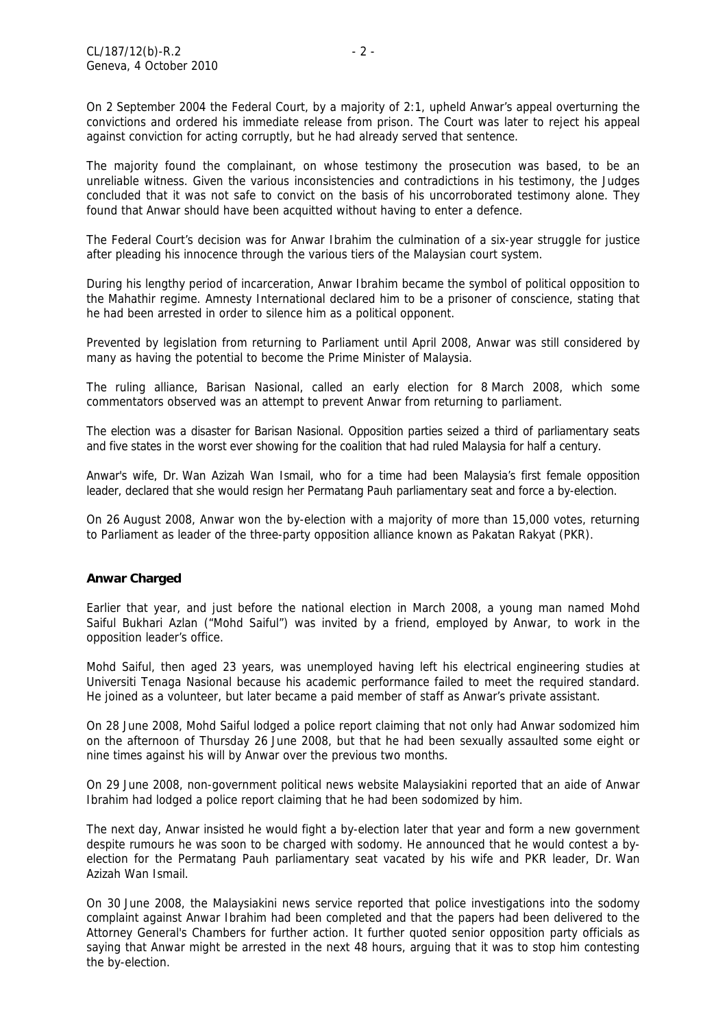On 2 September 2004 the Federal Court, by a majority of 2:1, upheld Anwar's appeal overturning the convictions and ordered his immediate release from prison. The Court was later to reject his appeal against conviction for acting corruptly, but he had already served that sentence.

The majority found the complainant, on whose testimony the prosecution was based, to be an unreliable witness. Given the various inconsistencies and contradictions in his testimony, the Judges concluded that it was not safe to convict on the basis of his uncorroborated testimony alone. They found that Anwar should have been acquitted without having to enter a defence.

The Federal Court's decision was for Anwar Ibrahim the culmination of a six-year struggle for justice after pleading his innocence through the various tiers of the Malaysian court system.

During his lengthy period of incarceration, Anwar Ibrahim became the symbol of political opposition to the Mahathir regime. Amnesty International declared him to be a prisoner of conscience, stating that he had been arrested in order to silence him as a political opponent.

Prevented by legislation from returning to Parliament until April 2008, Anwar was still considered by many as having the potential to become the Prime Minister of Malaysia.

The ruling alliance, Barisan Nasional, called an early election for 8 March 2008, which some commentators observed was an attempt to prevent Anwar from returning to parliament.

The election was a disaster for Barisan Nasional. Opposition parties seized a third of parliamentary seats and five states in the worst ever showing for the coalition that had ruled Malaysia for half a century.

Anwar's wife, Dr. Wan Azizah Wan Ismail, who for a time had been Malaysia's first female opposition leader, declared that she would resign her Permatang Pauh parliamentary seat and force a [by-election.](http://en.wikipedia.org/wiki/By-election)

On 26 August 2008, Anwar won the by-election with a majority of more than 15,000 votes, returning to Parliament as leader of the three-party opposition alliance known as Pakatan Rakyat (PKR).

# **Anwar Charged**

Earlier that year, and just before the national election in March 2008, a young man named Mohd Saiful Bukhari Azlan ("Mohd Saiful") was invited by a friend, employed by Anwar, to work in the opposition leader's office.

Mohd Saiful, then aged 23 years, was unemployed having left his electrical engineering studies at Universiti Tenaga Nasional because his academic performance failed to meet the required standard. He joined as a volunteer, but later became a paid member of staff as Anwar's private assistant.

On 28 June 2008, Mohd Saiful lodged a police report claiming that not only had Anwar sodomized him on the afternoon of Thursday 26 June 2008, but that he had been sexually assaulted some eight or nine times against his will by Anwar over the previous two months.

On 29 June 2008, non-government political news website Malaysiakini reported that an aide of Anwar Ibrahim had lodged a police report claiming that he had been sodomized by him.

The next day, Anwar insisted he would fight a by-election later that year and form a new government despite rumours he was soon to be charged with sodomy. He announced that he would contest a byelection for the Permatang Pauh parliamentary seat vacated by his wife and PKR leader, Dr. Wan Azizah Wan Ismail.

On 30 June 2008, the Malaysiakini news service reported that police investigations into the sodomy complaint against Anwar Ibrahim had been completed and that the papers had been delivered to the Attorney General's Chambers for further action. It further quoted senior opposition party officials as saying that Anwar might be arrested in the next 48 hours, arguing that it was to stop him contesting the by-election.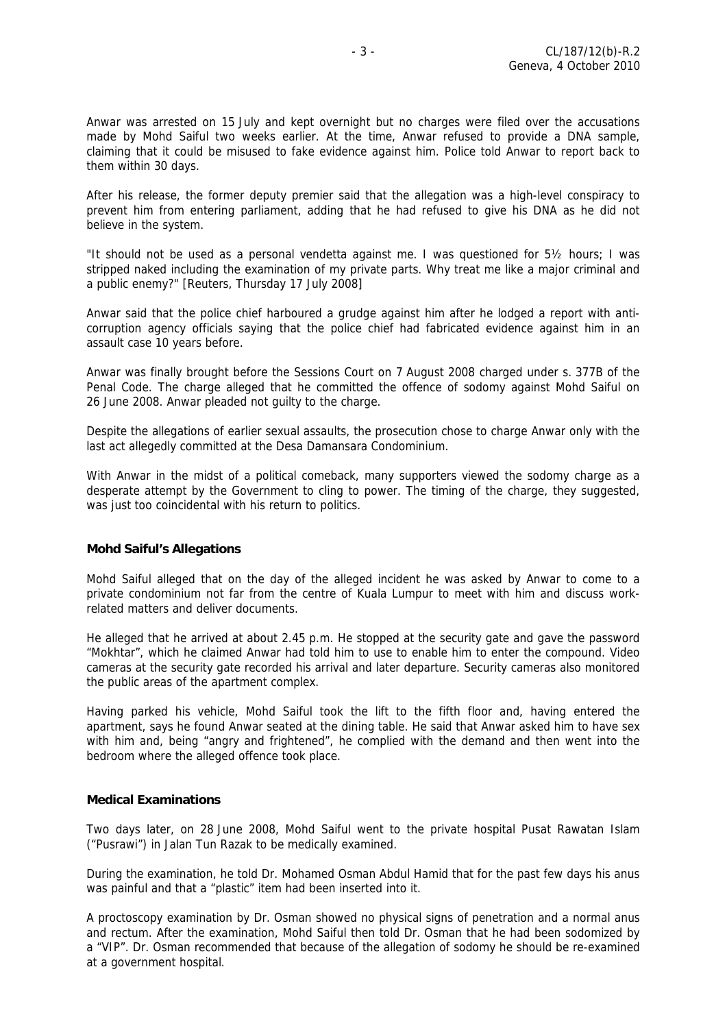Anwar was arrested on 15 July and kept overnight but no charges were filed over the accusations made by Mohd Saiful two weeks earlier. At the time, Anwar refused to provide a DNA sample, claiming that it could be misused to fake evidence against him. Police told Anwar to report back to them within 30 days.

After his release, the former deputy premier said that the allegation was a high-level conspiracy to prevent him from entering parliament, adding that he had refused to give his DNA as he did not believe in the system.

"It should not be used as a personal vendetta against me. I was questioned for 5½ hours; I was stripped naked including the examination of my private parts. Why treat me like a major criminal and a public enemy?" [Reuters, Thursday 17 July 2008]

Anwar said that the police chief harboured a grudge against him after he lodged a report with anticorruption agency officials saying that the police chief had fabricated evidence against him in an assault case 10 years before.

Anwar was finally brought before the Sessions Court on 7 August 2008 charged under s. 377B of the Penal Code. The charge alleged that he committed the offence of sodomy against Mohd Saiful on 26 June 2008. Anwar pleaded not guilty to the charge.

Despite the allegations of earlier sexual assaults, the prosecution chose to charge Anwar only with the last act allegedly committed at the Desa Damansara Condominium.

With Anwar in the midst of a political comeback, many supporters viewed the sodomy charge as a desperate attempt by the Government to cling to power. The timing of the charge, they suggested, was just too coincidental with his return to politics.

# **Mohd Saiful's Allegations**

Mohd Saiful alleged that on the day of the alleged incident he was asked by Anwar to come to a private condominium not far from the centre of Kuala Lumpur to meet with him and discuss workrelated matters and deliver documents.

He alleged that he arrived at about 2.45 p.m. He stopped at the security gate and gave the password "Mokhtar", which he claimed Anwar had told him to use to enable him to enter the compound. Video cameras at the security gate recorded his arrival and later departure. Security cameras also monitored the public areas of the apartment complex.

Having parked his vehicle, Mohd Saiful took the lift to the fifth floor and, having entered the apartment, says he found Anwar seated at the dining table. He said that Anwar asked him to have sex with him and, being "angry and frightened", he complied with the demand and then went into the bedroom where the alleged offence took place.

#### **Medical Examinations**

Two days later, on 28 June 2008, Mohd Saiful went to the private hospital Pusat Rawatan Islam ("Pusrawi") in Jalan Tun Razak to be medically examined.

During the examination, he told Dr. Mohamed Osman Abdul Hamid that for the past few days his anus was painful and that a "plastic" item had been inserted into it.

A proctoscopy examination by Dr. Osman showed no physical signs of penetration and a normal anus and rectum. After the examination, Mohd Saiful then told Dr. Osman that he had been sodomized by a "VIP". Dr. Osman recommended that because of the allegation of sodomy he should be re-examined at a government hospital.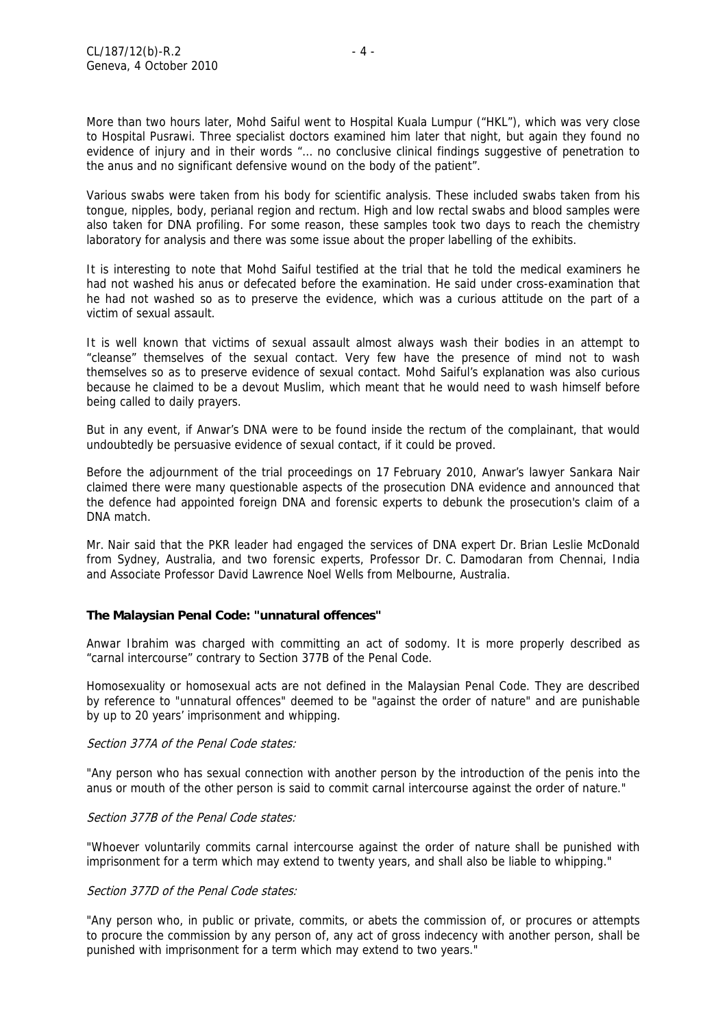More than two hours later, Mohd Saiful went to Hospital Kuala Lumpur ("HKL"), which was very close to Hospital Pusrawi. Three specialist doctors examined him later that night, but again they found no evidence of injury and in their words "… no conclusive clinical findings suggestive of penetration to the anus and no significant defensive wound on the body of the patient".

Various swabs were taken from his body for scientific analysis. These included swabs taken from his tongue, nipples, body, perianal region and rectum. High and low rectal swabs and blood samples were also taken for DNA profiling. For some reason, these samples took two days to reach the chemistry laboratory for analysis and there was some issue about the proper labelling of the exhibits.

It is interesting to note that Mohd Saiful testified at the trial that he told the medical examiners he had not washed his anus or defecated before the examination. He said under cross-examination that he had not washed so as to preserve the evidence, which was a curious attitude on the part of a victim of sexual assault.

It is well known that victims of sexual assault almost always wash their bodies in an attempt to "cleanse" themselves of the sexual contact. Very few have the presence of mind not to wash themselves so as to preserve evidence of sexual contact. Mohd Saiful's explanation was also curious because he claimed to be a devout Muslim, which meant that he would need to wash himself before being called to daily prayers.

But in any event, if Anwar's DNA were to be found inside the rectum of the complainant, that would undoubtedly be persuasive evidence of sexual contact, if it could be proved.

Before the adjournment of the trial proceedings on 17 February 2010, Anwar's lawyer Sankara Nair claimed there were many questionable aspects of the prosecution DNA evidence and announced that the defence had appointed foreign DNA and forensic experts to debunk the prosecution's claim of a DNA match.

Mr. Nair said that the PKR leader had engaged the services of DNA expert Dr. Brian Leslie McDonald from Sydney, Australia, and two forensic experts, Professor Dr. C. Damodaran from Chennai, India and Associate Professor David Lawrence Noel Wells from Melbourne, Australia.

# **The Malaysian Penal Code: "unnatural offences"**

Anwar Ibrahim was charged with committing an act of sodomy. It is more properly described as "carnal intercourse" contrary to Section 377B of the Penal Code.

Homosexuality or homosexual acts are not defined in the Malaysian Penal Code. They are described by reference to "unnatural offences" deemed to be "against the order of nature" and are punishable by up to 20 years' imprisonment and whipping.

#### Section 377A of the Penal Code states:

"Any person who has sexual connection with another person by the introduction of the penis into the anus or mouth of the other person is said to commit carnal intercourse against the order of nature."

#### Section 377B of the Penal Code states:

"Whoever voluntarily commits carnal intercourse against the order of nature shall be punished with imprisonment for a term which may extend to twenty years, and shall also be liable to whipping."

#### Section 377D of the Penal Code states:

"Any person who, in public or private, commits, or abets the commission of, or procures or attempts to procure the commission by any person of, any act of gross indecency with another person, shall be punished with imprisonment for a term which may extend to two years."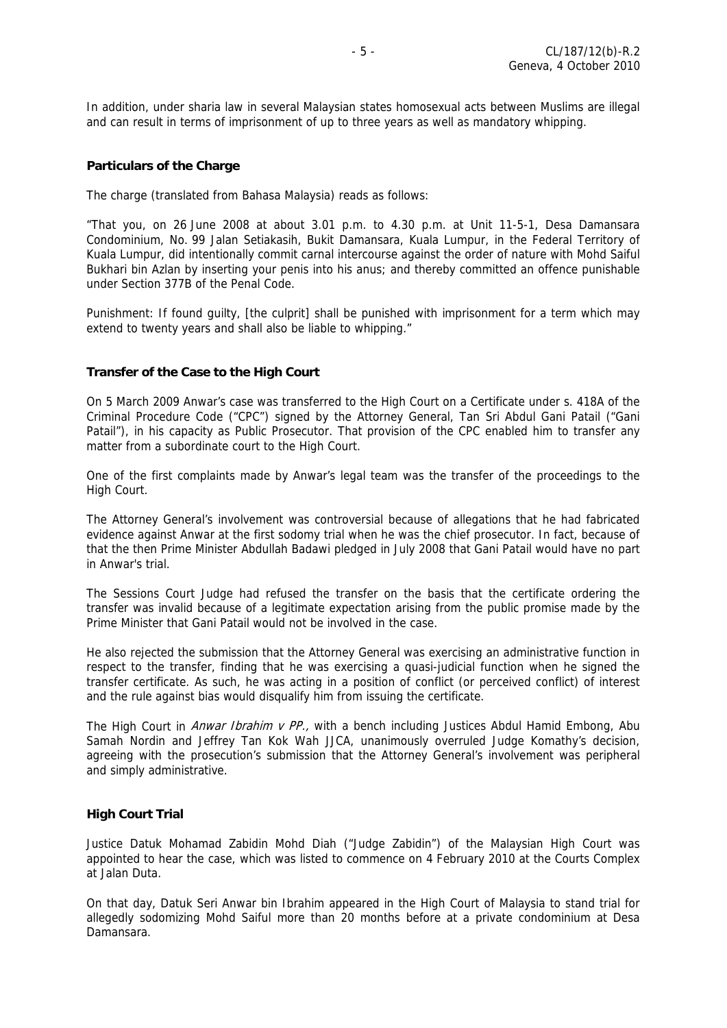In addition, under sharia law in several Malaysian states homosexual acts between Muslims are illegal and can result in terms of imprisonment of up to three years as well as mandatory whipping.

#### **Particulars of the Charge**

The charge (translated from Bahasa Malaysia) reads as follows:

"That you, on 26 June 2008 at about 3.01 p.m. to 4.30 p.m. at Unit 11-5-1, Desa Damansara Condominium, No. 99 Jalan Setiakasih, Bukit Damansara, Kuala Lumpur, in the Federal Territory of Kuala Lumpur, did intentionally commit carnal intercourse against the order of nature with Mohd Saiful Bukhari bin Azlan by inserting your penis into his anus; and thereby committed an offence punishable under Section 377B of the Penal Code.

Punishment: If found quilty, [the culprit] shall be punished with imprisonment for a term which may extend to twenty years and shall also be liable to whipping."

#### **Transfer of the Case to the High Court**

On 5 March 2009 Anwar's case was transferred to the High Court on a Certificate under s. 418A of the Criminal Procedure Code ("CPC") signed by the Attorney General, Tan Sri [Abdul Gani Patail](http://en.wikipedia.org/w/index.php?title=Abdul_Gani_Patail&action=edit&redlink=1) ("Gani Patail"), in his capacity as Public Prosecutor. That provision of the CPC enabled him to transfer any matter from a subordinate court to the High Court.

One of the first complaints made by Anwar's legal team was the transfer of the proceedings to the High Court.

The Attorney General's involvement was controversial because of allegations that he had fabricated evidence against Anwar at the first sodomy trial when he was the chief prosecutor. In fact, because of that the then Prime Minister Abdullah Badawi pledged in July 2008 that Gani Patail would have no part in Anwar's trial.

The Sessions Court Judge had refused the transfer on the basis that the certificate ordering the transfer was invalid because of a legitimate expectation arising from the public promise made by the Prime Minister that Gani Patail would not be involved in the case.

He also rejected the submission that the Attorney General was exercising an administrative function in respect to the transfer, finding that he was exercising a quasi-judicial function when he signed the transfer certificate. As such, he was acting in a position of conflict (or perceived conflict) of interest and the rule against bias would disqualify him from issuing the certificate.

The High Court in Anwar Ibrahim v PP., with a bench including Justices Abdul Hamid Embong, Abu Samah Nordin and Jeffrey Tan Kok Wah JJCA, unanimously overruled Judge Komathy's decision, agreeing with the prosecution's submission that the Attorney General's involvement was peripheral and simply administrative.

#### **High Court Trial**

Justice Datuk Mohamad Zabidin Mohd Diah ("Judge Zabidin") of the Malaysian High Court was appointed to hear the case, which was listed to commence on 4 February 2010 at the Courts Complex at Jalan Duta.

On that day, Datuk Seri Anwar bin Ibrahim appeared in the High Court of Malaysia to stand trial for allegedly sodomizing Mohd Saiful more than 20 months before at a private condominium at Desa Damansara.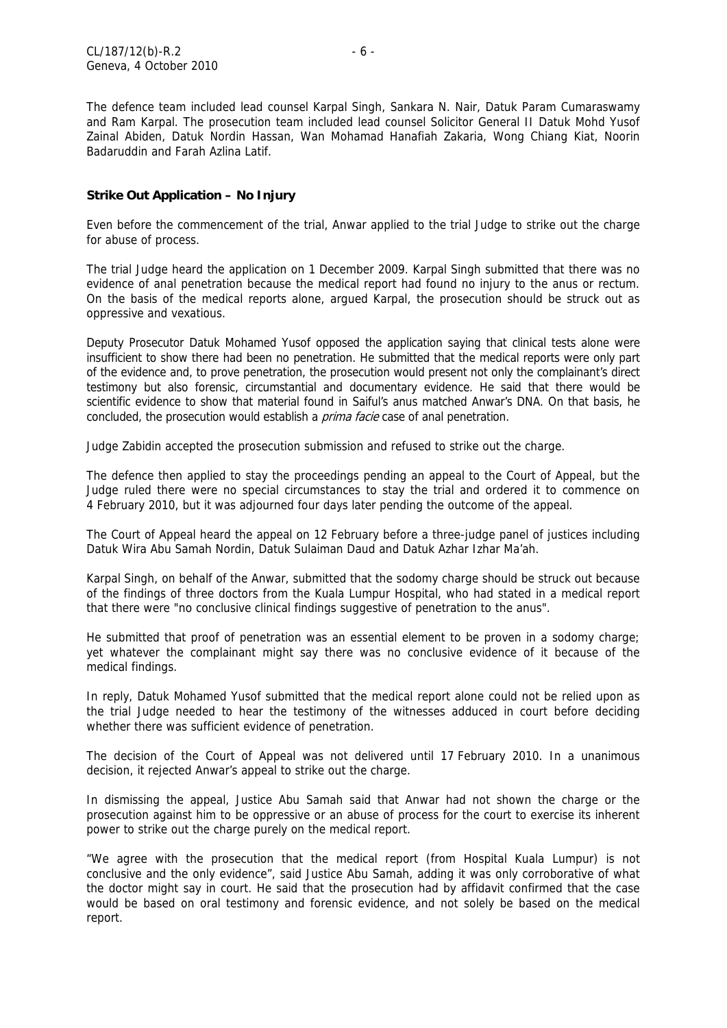The defence team included lead counsel Karpal Singh, Sankara N. Nair, Datuk Param Cumaraswamy and Ram Karpal. The prosecution team included lead counsel Solicitor General II Datuk Mohd Yusof Zainal Abiden, Datuk Nordin Hassan, Wan Mohamad Hanafiah Zakaria, Wong Chiang Kiat, Noorin Badaruddin and Farah Azlina Latif.

### **Strike Out Application – No Injury**

Even before the commencement of the trial, Anwar applied to the trial Judge to strike out the charge for abuse of process.

The trial Judge heard the application on 1 December 2009. Karpal Singh submitted that there was no evidence of anal penetration because the medical report had found no injury to the anus or rectum. On the basis of the medical reports alone, argued Karpal, the prosecution should be struck out as oppressive and vexatious.

Deputy Prosecutor Datuk Mohamed Yusof opposed the application saying that clinical tests alone were insufficient to show there had been no penetration. He submitted that the medical reports were only part of the evidence and, to prove penetration, the prosecution would present not only the complainant's direct testimony but also forensic, circumstantial and documentary evidence. He said that there would be scientific evidence to show that material found in Saiful's anus matched Anwar's DNA. On that basis, he concluded, the prosecution would establish a *prima facie* case of anal penetration.

Judge Zabidin accepted the prosecution submission and refused to strike out the charge.

The defence then applied to stay the proceedings pending an appeal to the Court of Appeal, but the Judge ruled there were no special circumstances to stay the trial and ordered it to commence on 4 February 2010, but it was adjourned four days later pending the outcome of the appeal.

The Court of Appeal heard the appeal on 12 February before a three-judge panel of justices including Datuk Wira Abu Samah Nordin, Datuk Sulaiman Daud and Datuk Azhar Izhar Ma'ah.

Karpal Singh, on behalf of the Anwar, submitted that the sodomy charge should be struck out because of the findings of three doctors from the Kuala Lumpur Hospital, who had stated in a medical report that there were "no conclusive clinical findings suggestive of penetration to the anus".

He submitted that proof of penetration was an essential element to be proven in a sodomy charge; yet whatever the complainant might say there was no conclusive evidence of it because of the medical findings.

In reply, Datuk Mohamed Yusof submitted that the medical report alone could not be relied upon as the trial Judge needed to hear the testimony of the witnesses adduced in court before deciding whether there was sufficient evidence of penetration.

The decision of the Court of Appeal was not delivered until 17 February 2010. In a unanimous decision, it rejected Anwar's appeal to strike out the charge.

In dismissing the appeal, Justice Abu Samah said that Anwar had not shown the charge or the prosecution against him to be oppressive or an abuse of process for the court to exercise its inherent power to strike out the charge purely on the medical report.

"We agree with the prosecution that the medical report (from Hospital Kuala Lumpur) is not conclusive and the only evidence", said Justice Abu Samah, adding it was only corroborative of what the doctor might say in court. He said that the prosecution had by affidavit confirmed that the case would be based on oral testimony and forensic evidence, and not solely be based on the medical report.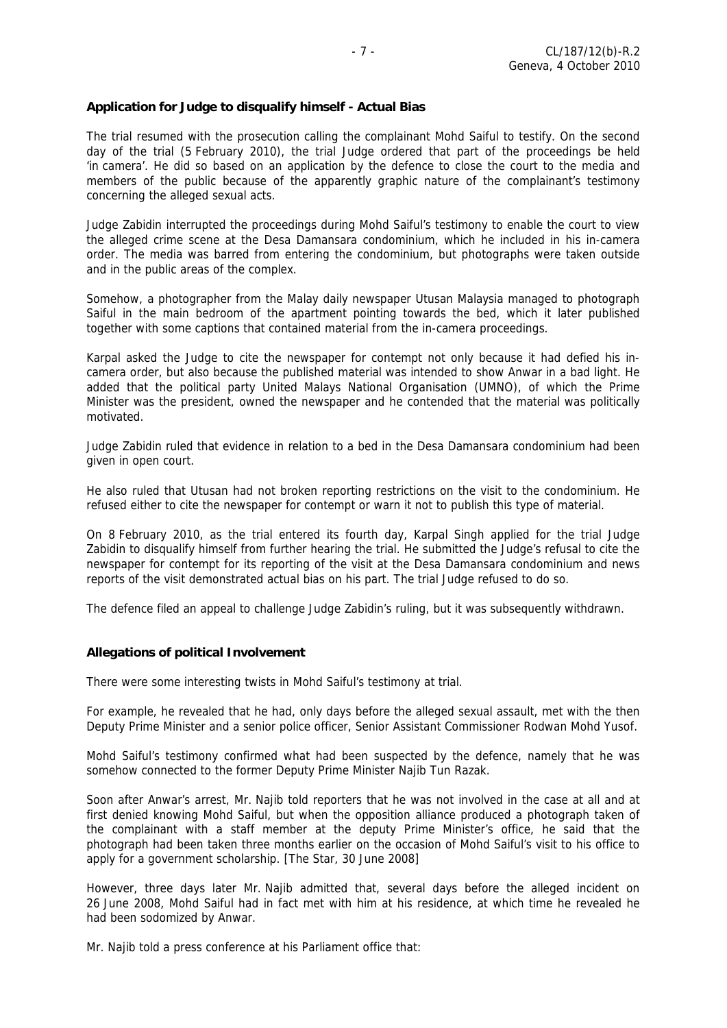#### **Application for Judge to disqualify himself - Actual Bias**

The trial resumed with the prosecution calling the complainant Mohd Saiful to testify. On the second day of the trial (5 February 2010), the trial Judge ordered that part of the proceedings be held 'in camera'. He did so based on an application by the defence to close the court to the media and members of the public because of the apparently graphic nature of the complainant's testimony concerning the alleged sexual acts.

Judge Zabidin interrupted the proceedings during Mohd Saiful's testimony to enable the court to view the alleged crime scene at the Desa Damansara condominium, which he included in his in-camera order. The media was barred from entering the condominium, but photographs were taken outside and in the public areas of the complex.

Somehow, a photographer from the Malay daily newspaper Utusan Malaysia managed to photograph Saiful in the main bedroom of the apartment pointing towards the bed, which it later published together with some captions that contained material from the in-camera proceedings.

Karpal asked the Judge to cite the newspaper for contempt not only because it had defied his incamera order, but also because the published material was intended to show Anwar in a bad light. He added that the political party United Malays National Organisation (UMNO), of which the Prime Minister was the president, owned the newspaper and he contended that the material was politically motivated.

Judge Zabidin ruled that evidence in relation to a bed in the Desa Damansara condominium had been given in open court.

He also ruled that Utusan had not broken reporting restrictions on the visit to the condominium. He refused either to cite the newspaper for contempt or warn it not to publish this type of material.

On 8 February 2010, as the trial entered its fourth day, Karpal Singh applied for the trial Judge Zabidin to disqualify himself from further hearing the trial. He submitted the Judge's refusal to cite the newspaper for contempt for its reporting of the visit at the Desa Damansara condominium and news reports of the visit demonstrated actual bias on his part. The trial Judge refused to do so.

The defence filed an appeal to challenge Judge Zabidin's ruling, but it was subsequently withdrawn.

# **Allegations of political Involvement**

There were some interesting twists in Mohd Saiful's testimony at trial.

For example, he revealed that he had, only days before the alleged sexual assault, met with the then Deputy Prime Minister and a senior police officer, Senior Assistant Commissioner Rodwan Mohd Yusof.

Mohd Saiful's testimony confirmed what had been suspected by the defence, namely that he was somehow connected to the former Deputy Prime Minister Najib Tun Razak.

Soon after Anwar's arrest, Mr. Najib told reporters that he was not involved in the case at all and at first denied knowing Mohd Saiful, but when the opposition alliance produced a photograph taken of the complainant with a staff member at the deputy Prime Minister's office, he said that the photograph had been taken three months earlier on the occasion of Mohd Saiful's visit to his office to apply for a government scholarship. [The Star, 30 June 2008]

However, three days later Mr. Najib admitted that, several days before the alleged incident on 26 June 2008, Mohd Saiful had in fact met with him at his residence, at which time he revealed he had been sodomized by Anwar.

Mr. Najib told a press conference at his Parliament office that: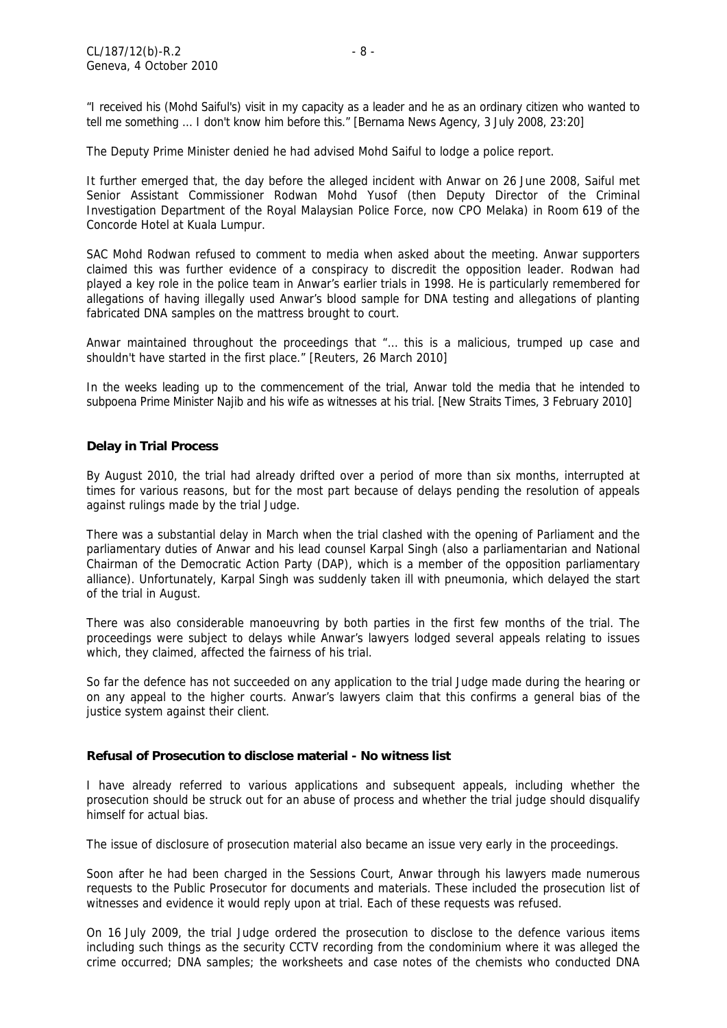"I received his (Mohd Saiful's) visit in my capacity as a leader and he as an ordinary citizen who wanted to tell me something ... I don't know him before this." [Bernama News Agency, 3 July 2008, 23:20]

The Deputy Prime Minister denied he had advised Mohd Saiful to lodge a police report.

It further emerged that, the day before the alleged incident with Anwar on 26 June 2008, Saiful met Senior Assistant Commissioner Rodwan Mohd Yusof (then Deputy Director of the Criminal Investigation Department of the Royal Malaysian Police Force, now CPO Melaka) in Room 619 of the Concorde Hotel at Kuala Lumpur.

SAC Mohd Rodwan refused to comment to media when asked about the meeting. Anwar supporters claimed this was further evidence of a conspiracy to discredit the opposition leader. Rodwan had played a key role in the police team in Anwar's earlier trials in 1998. He is particularly remembered for allegations of having illegally used Anwar's blood sample for DNA testing and allegations of planting fabricated DNA samples on the mattress brought to court.

Anwar maintained throughout the proceedings that "… this is a malicious, trumped up case and shouldn't have started in the first place." [Reuters, 26 March 2010]

In the weeks leading up to the commencement of the trial, Anwar told the media that he intended to subpoena Prime Minister Najib and his wife as witnesses at his trial. [New Straits Times, 3 February 2010]

#### **Delay in Trial Process**

By August 2010, the trial had already drifted over a period of more than six months, interrupted at times for various reasons, but for the most part because of delays pending the resolution of appeals against rulings made by the trial Judge.

There was a substantial delay in March when the trial clashed with the opening of Parliament and the parliamentary duties of Anwar and his lead counsel Karpal Singh (also a parliamentarian and National Chairman of the Democratic Action Party (DAP), which is a member of the opposition parliamentary alliance). Unfortunately, Karpal Singh was suddenly taken ill with pneumonia, which delayed the start of the trial in August.

There was also considerable manoeuvring by both parties in the first few months of the trial. The proceedings were subject to delays while Anwar's lawyers lodged several appeals relating to issues which, they claimed, affected the fairness of his trial.

So far the defence has not succeeded on any application to the trial Judge made during the hearing or on any appeal to the higher courts. Anwar's lawyers claim that this confirms a general bias of the justice system against their client.

#### **Refusal of Prosecution to disclose material - No witness list**

I have already referred to various applications and subsequent appeals, including whether the prosecution should be struck out for an abuse of process and whether the trial judge should disqualify himself for actual bias.

The issue of disclosure of prosecution material also became an issue very early in the proceedings.

Soon after he had been charged in the Sessions Court, Anwar through his lawyers made numerous requests to the Public Prosecutor for documents and materials. These included the prosecution list of witnesses and evidence it would reply upon at trial. Each of these requests was refused.

On 16 July 2009, the trial Judge ordered the prosecution to disclose to the defence various items including such things as the security CCTV recording from the condominium where it was alleged the crime occurred; DNA samples; the worksheets and case notes of the chemists who conducted DNA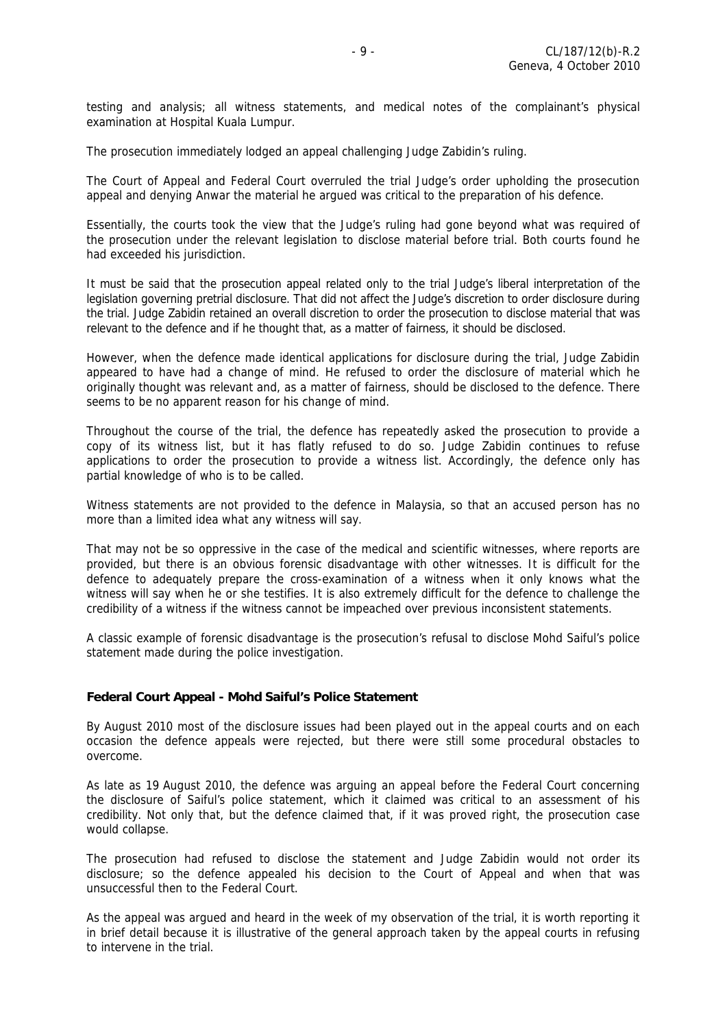testing and analysis; all witness statements, and medical notes of the complainant's physical examination at Hospital Kuala Lumpur.

The prosecution immediately lodged an appeal challenging Judge Zabidin's ruling.

The Court of Appeal and Federal Court overruled the trial Judge's order upholding the prosecution appeal and denying Anwar the material he argued was critical to the preparation of his defence.

Essentially, the courts took the view that the Judge's ruling had gone beyond what was required of the prosecution under the relevant legislation to disclose material before trial. Both courts found he had exceeded his jurisdiction.

It must be said that the prosecution appeal related only to the trial Judge's liberal interpretation of the legislation governing pretrial disclosure. That did not affect the Judge's discretion to order disclosure during the trial. Judge Zabidin retained an overall discretion to order the prosecution to disclose material that was relevant to the defence and if he thought that, as a matter of fairness, it should be disclosed.

However, when the defence made identical applications for disclosure during the trial, Judge Zabidin appeared to have had a change of mind. He refused to order the disclosure of material which he originally thought was relevant and, as a matter of fairness, should be disclosed to the defence. There seems to be no apparent reason for his change of mind.

Throughout the course of the trial, the defence has repeatedly asked the prosecution to provide a copy of its witness list, but it has flatly refused to do so. Judge Zabidin continues to refuse applications to order the prosecution to provide a witness list. Accordingly, the defence only has partial knowledge of who is to be called.

Witness statements are not provided to the defence in Malaysia, so that an accused person has no more than a limited idea what any witness will say.

That may not be so oppressive in the case of the medical and scientific witnesses, where reports are provided, but there is an obvious forensic disadvantage with other witnesses. It is difficult for the defence to adequately prepare the cross-examination of a witness when it only knows what the witness will say when he or she testifies. It is also extremely difficult for the defence to challenge the credibility of a witness if the witness cannot be impeached over previous inconsistent statements.

A classic example of forensic disadvantage is the prosecution's refusal to disclose Mohd Saiful's police statement made during the police investigation.

#### **Federal Court Appeal - Mohd Saiful's Police Statement**

By August 2010 most of the disclosure issues had been played out in the appeal courts and on each occasion the defence appeals were rejected, but there were still some procedural obstacles to overcome.

As late as 19 August 2010, the defence was arguing an appeal before the Federal Court concerning the disclosure of Saiful's police statement, which it claimed was critical to an assessment of his credibility. Not only that, but the defence claimed that, if it was proved right, the prosecution case would collapse.

The prosecution had refused to disclose the statement and Judge Zabidin would not order its disclosure; so the defence appealed his decision to the Court of Appeal and when that was unsuccessful then to the Federal Court.

As the appeal was argued and heard in the week of my observation of the trial, it is worth reporting it in brief detail because it is illustrative of the general approach taken by the appeal courts in refusing to intervene in the trial.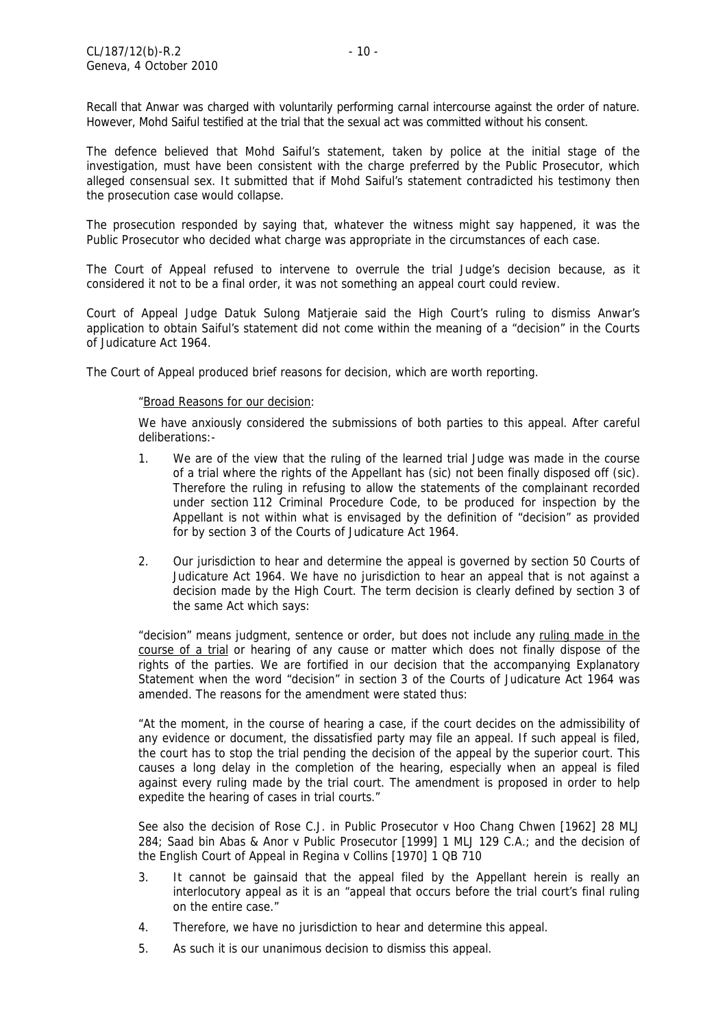Recall that Anwar was charged with voluntarily performing carnal intercourse against the order of nature. However, Mohd Saiful testified at the trial that the sexual act was committed without his consent.

The defence believed that Mohd Saiful's statement, taken by police at the initial stage of the investigation, must have been consistent with the charge preferred by the Public Prosecutor, which alleged consensual sex. It submitted that if Mohd Saiful's statement contradicted his testimony then the prosecution case would collapse.

The prosecution responded by saying that, whatever the witness might say happened, it was the Public Prosecutor who decided what charge was appropriate in the circumstances of each case.

The Court of Appeal refused to intervene to overrule the trial Judge's decision because, as it considered it not to be a final order, it was not something an appeal court could review.

Court of Appeal Judge Datuk Sulong Matjeraie said the High Court's ruling to dismiss Anwar's application to obtain Saiful's statement did not come within the meaning of a "decision" in the Courts of Judicature Act 1964.

The Court of Appeal produced brief reasons for decision, which are worth reporting.

#### "Broad Reasons for our decision:

 We have anxiously considered the submissions of both parties to this appeal. After careful deliberations:-

- 1. We are of the view that the ruling of the learned trial Judge was made in the course of a trial where the rights of the Appellant has (sic) not been finally disposed off (sic). Therefore the ruling in refusing to allow the statements of the complainant recorded under section 112 Criminal Procedure Code, to be produced for inspection by the Appellant is not within what is envisaged by the definition of "decision" as provided for by section 3 of the Courts of Judicature Act 1964.
- 2. Our jurisdiction to hear and determine the appeal is governed by section 50 Courts of Judicature Act 1964. We have no jurisdiction to hear an appeal that is not against a decision made by the High Court. The term decision is clearly defined by section 3 of the same Act which says:

 "decision" means judgment, sentence or order, but does not include any ruling made in the course of a trial or hearing of any cause or matter which does not finally dispose of the rights of the parties. We are fortified in our decision that the accompanying Explanatory Statement when the word "decision" in section 3 of the Courts of Judicature Act 1964 was amended. The reasons for the amendment were stated thus:

 "At the moment, in the course of hearing a case, if the court decides on the admissibility of any evidence or document, the dissatisfied party may file an appeal. If such appeal is filed, the court has to stop the trial pending the decision of the appeal by the superior court. This causes a long delay in the completion of the hearing, especially when an appeal is filed against every ruling made by the trial court. The amendment is proposed in order to help expedite the hearing of cases in trial courts."

 See also the decision of Rose C.J. in Public Prosecutor v Hoo Chang Chwen [1962] 28 MLJ 284; Saad bin Abas & Anor v Public Prosecutor [1999] 1 MLJ 129 C.A.; and the decision of the English Court of Appeal in Regina v Collins [1970] 1 QB 710

- 3. It cannot be gainsaid that the appeal filed by the Appellant herein is really an interlocutory appeal as it is an "appeal that occurs before the trial court's final ruling on the entire case."
- 4. Therefore, we have no jurisdiction to hear and determine this appeal.
- 5. As such it is our unanimous decision to dismiss this appeal.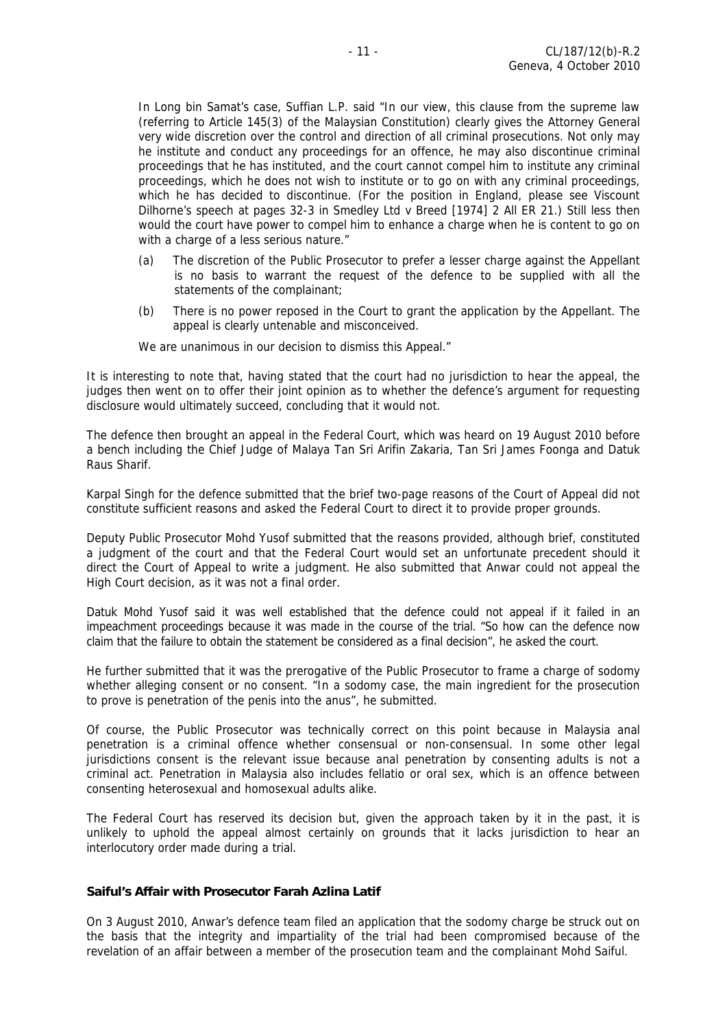In Long bin Samat's case, Suffian L.P. said "In our view, this clause from the supreme law (referring to Article 145(3) of the Malaysian Constitution) clearly gives the Attorney General very wide discretion over the control and direction of all criminal prosecutions. Not only may he institute and conduct any proceedings for an offence, he may also discontinue criminal proceedings that he has instituted, and the court cannot compel him to institute any criminal proceedings, which he does not wish to institute or to go on with any criminal proceedings, which he has decided to discontinue. (For the position in England, please see Viscount Dilhorne's speech at pages 32-3 in Smedley Ltd v Breed [1974] 2 All ER 21.) Still less then would the court have power to compel him to enhance a charge when he is content to go on with a charge of a less serious nature."

- (a) The discretion of the Public Prosecutor to prefer a lesser charge against the Appellant is no basis to warrant the request of the defence to be supplied with all the statements of the complainant;
- (b) There is no power reposed in the Court to grant the application by the Appellant. The appeal is clearly untenable and misconceived.

We are unanimous in our decision to dismiss this Appeal."

It is interesting to note that, having stated that the court had no jurisdiction to hear the appeal, the judges then went on to offer their joint opinion as to whether the defence's argument for requesting disclosure would ultimately succeed, concluding that it would not.

The defence then brought an appeal in the Federal Court, which was heard on 19 August 2010 before a bench including the Chief Judge of Malaya Tan Sri Arifin Zakaria, Tan Sri James Foonga and Datuk Raus Sharif.

Karpal Singh for the defence submitted that the brief two-page reasons of the Court of Appeal did not constitute sufficient reasons and asked the Federal Court to direct it to provide proper grounds.

Deputy Public Prosecutor Mohd Yusof submitted that the reasons provided, although brief, constituted a judgment of the court and that the Federal Court would set an unfortunate precedent should it direct the Court of Appeal to write a judgment. He also submitted that Anwar could not appeal the High Court decision, as it was not a final order.

Datuk Mohd Yusof said it was well established that the defence could not appeal if it failed in an impeachment proceedings because it was made in the course of the trial. "So how can the defence now claim that the failure to obtain the statement be considered as a final decision", he asked the court.

He further submitted that it was the prerogative of the Public Prosecutor to frame a charge of sodomy whether alleging consent or no consent. "In a sodomy case, the main ingredient for the prosecution to prove is penetration of the penis into the anus", he submitted.

Of course, the Public Prosecutor was technically correct on this point because in Malaysia anal penetration is a criminal offence whether consensual or non-consensual. In some other legal jurisdictions consent is the relevant issue because anal penetration by consenting adults is not a criminal act. Penetration in Malaysia also includes fellatio or oral sex, which is an offence between consenting heterosexual and homosexual adults alike.

The Federal Court has reserved its decision but, given the approach taken by it in the past, it is unlikely to uphold the appeal almost certainly on grounds that it lacks jurisdiction to hear an interlocutory order made during a trial.

# **Saiful's Affair with Prosecutor Farah Azlina Latif**

On 3 August 2010, Anwar's defence team filed an application that the sodomy charge be struck out on the basis that the integrity and impartiality of the trial had been compromised because of the revelation of an affair between a member of the prosecution team and the complainant Mohd Saiful.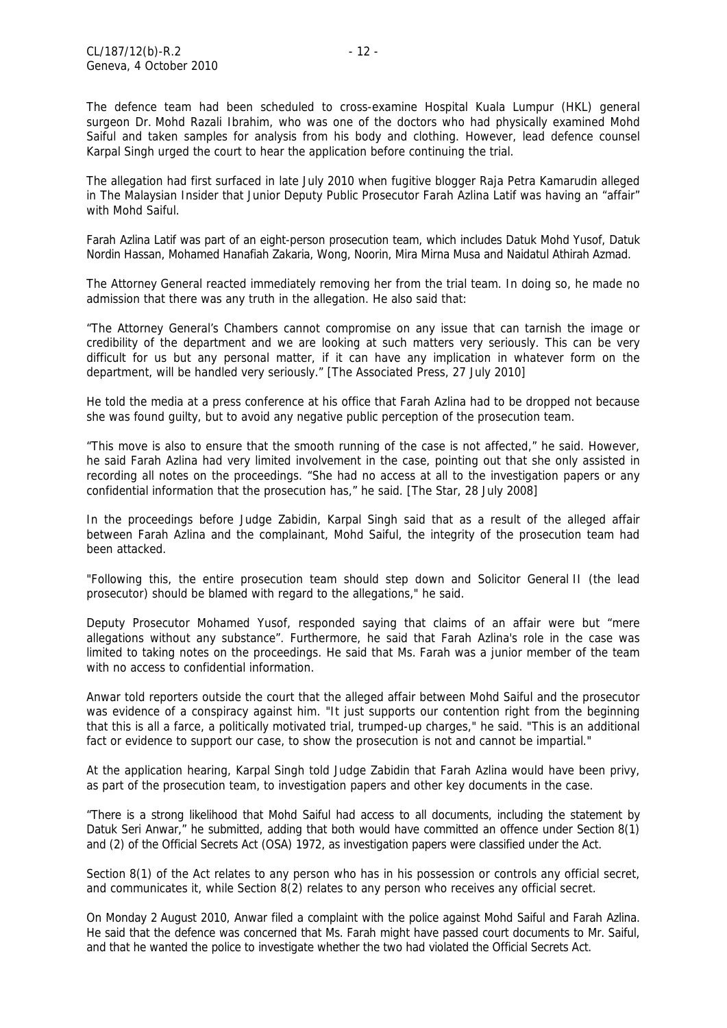The defence team had been scheduled to cross-examine Hospital Kuala Lumpur (HKL) general surgeon Dr. Mohd Razali Ibrahim, who was one of the doctors who had physically examined Mohd Saiful and taken samples for analysis from his body and clothing. However, lead defence counsel Karpal Singh urged the court to hear the application before continuing the trial.

The allegation had first surfaced in late July 2010 when fugitive blogger Raja Petra Kamarudin alleged in The Malaysian Insider that Junior Deputy Public Prosecutor Farah Azlina Latif was having an "affair" with Mohd Saiful.

Farah Azlina Latif was part of an eight-person prosecution team, which includes Datuk Mohd Yusof, Datuk Nordin Hassan, Mohamed Hanafiah Zakaria, Wong, Noorin, Mira Mirna Musa and Naidatul Athirah Azmad.

The Attorney General reacted immediately removing her from the trial team. In doing so, he made no admission that there was any truth in the allegation. He also said that:

"The Attorney General's Chambers cannot compromise on any issue that can tarnish the image or credibility of the department and we are looking at such matters very seriously. This can be very difficult for us but any personal matter, if it can have any implication in whatever form on the department, will be handled very seriously." [The Associated Press, 27 July 2010]

He told the media at a press conference at his office that Farah Azlina had to be dropped not because she was found guilty, but to avoid any negative public perception of the prosecution team.

"This move is also to ensure that the smooth running of the case is not affected," he said. However, he said Farah Azlina had very limited involvement in the case, pointing out that she only assisted in recording all notes on the proceedings. "She had no access at all to the investigation papers or any confidential information that the prosecution has," he said. [The Star, 28 July 2008]

In the proceedings before Judge Zabidin, Karpal Singh said that as a result of the alleged affair between Farah Azlina and the complainant, Mohd Saiful, the integrity of the prosecution team had been attacked.

"Following this, the entire prosecution team should step down and Solicitor General II (the lead prosecutor) should be blamed with regard to the allegations," he said.

Deputy Prosecutor Mohamed Yusof, responded saying that claims of an affair were but "mere allegations without any substance". Furthermore, he said that Farah Azlina's role in the case was limited to taking notes on the proceedings. He said that Ms. Farah was a junior member of the team with no access to confidential information.

Anwar told reporters outside the court that the alleged affair between Mohd Saiful and the prosecutor was evidence of a conspiracy against him. "It just supports our contention right from the beginning that this is all a farce, a politically motivated trial, trumped-up charges," he said. "This is an additional fact or evidence to support our case, to show the prosecution is not and cannot be impartial."

At the application hearing, Karpal Singh told Judge Zabidin that Farah Azlina would have been privy, as part of the prosecution team, to investigation papers and other key documents in the case.

"There is a strong likelihood that Mohd Saiful had access to all documents, including the statement by Datuk Seri Anwar," he submitted, adding that both would have committed an offence under Section 8(1) and (2) of the Official Secrets Act (OSA) 1972, as investigation papers were classified under the Act.

Section 8(1) of the Act relates to any person who has in his possession or controls any official secret, and communicates it, while Section 8(2) relates to any person who receives any official secret.

On Monday 2 August 2010, Anwar filed a complaint with the police against Mohd Saiful and Farah Azlina. He said that the defence was concerned that Ms. Farah might have passed court documents to Mr. Saiful, and that he wanted the police to investigate whether the two had violated the Official Secrets Act.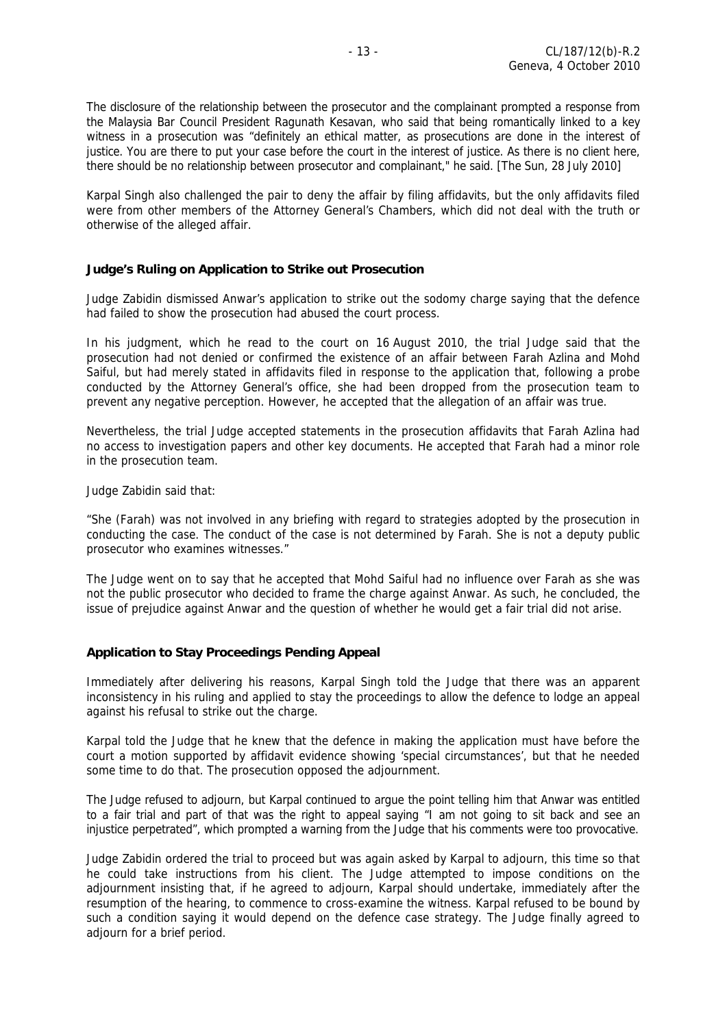The disclosure of the relationship between the prosecutor and the complainant prompted a response from the Malaysia Bar Council President Ragunath Kesavan, who said that being romantically linked to a key witness in a prosecution was "definitely an ethical matter, as prosecutions are done in the interest of justice. You are there to put your case before the court in the interest of justice. As there is no client here, there should be no relationship between prosecutor and complainant," he said. [The Sun, 28 July 2010]

Karpal Singh also challenged the pair to deny the affair by filing affidavits, but the only affidavits filed were from other members of the Attorney General's Chambers, which did not deal with the truth or otherwise of the alleged affair.

#### **Judge's Ruling on Application to Strike out Prosecution**

Judge Zabidin dismissed Anwar's application to strike out the sodomy charge saying that the defence had failed to show the prosecution had abused the court process.

In his judgment, which he read to the court on 16 August 2010, the trial Judge said that the prosecution had not denied or confirmed the existence of an affair between Farah Azlina and Mohd Saiful, but had merely stated in affidavits filed in response to the application that, following a probe conducted by the Attorney General's office, she had been dropped from the prosecution team to prevent any negative perception. However, he accepted that the allegation of an affair was true.

Nevertheless, the trial Judge accepted statements in the prosecution affidavits that Farah Azlina had no access to investigation papers and other key documents. He accepted that Farah had a minor role in the prosecution team.

Judge Zabidin said that:

"She (Farah) was not involved in any briefing with regard to strategies adopted by the prosecution in conducting the case. The conduct of the case is not determined by Farah. She is not a deputy public prosecutor who examines witnesses."

The Judge went on to say that he accepted that Mohd Saiful had no influence over Farah as she was not the public prosecutor who decided to frame the charge against Anwar. As such, he concluded, the issue of prejudice against Anwar and the question of whether he would get a fair trial did not arise.

#### **Application to Stay Proceedings Pending Appeal**

Immediately after delivering his reasons, Karpal Singh told the Judge that there was an apparent inconsistency in his ruling and applied to stay the proceedings to allow the defence to lodge an appeal against his refusal to strike out the charge.

Karpal told the Judge that he knew that the defence in making the application must have before the court a motion supported by affidavit evidence showing 'special circumstances', but that he needed some time to do that. The prosecution opposed the adjournment.

The Judge refused to adjourn, but Karpal continued to argue the point telling him that Anwar was entitled to a fair trial and part of that was the right to appeal saying "I am not going to sit back and see an injustice perpetrated", which prompted a warning from the Judge that his comments were too provocative.

Judge Zabidin ordered the trial to proceed but was again asked by Karpal to adjourn, this time so that he could take instructions from his client. The Judge attempted to impose conditions on the adjournment insisting that, if he agreed to adjourn, Karpal should undertake, immediately after the resumption of the hearing, to commence to cross-examine the witness. Karpal refused to be bound by such a condition saying it would depend on the defence case strategy. The Judge finally agreed to adjourn for a brief period.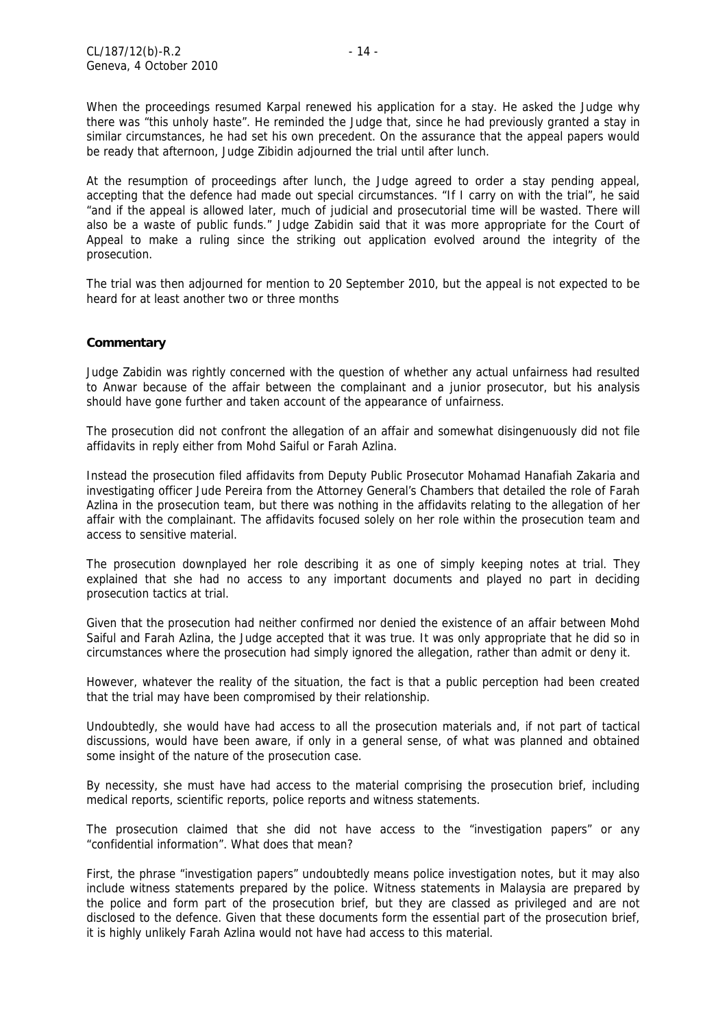When the proceedings resumed Karpal renewed his application for a stay. He asked the Judge why there was "this unholy haste". He reminded the Judge that, since he had previously granted a stay in similar circumstances, he had set his own precedent. On the assurance that the appeal papers would be ready that afternoon, Judge Zibidin adjourned the trial until after lunch.

At the resumption of proceedings after lunch, the Judge agreed to order a stay pending appeal, accepting that the defence had made out special circumstances. "If I carry on with the trial", he said "and if the appeal is allowed later, much of judicial and prosecutorial time will be wasted. There will also be a waste of public funds." Judge Zabidin said that it was more appropriate for the Court of Appeal to make a ruling since the striking out application evolved around the integrity of the prosecution.

The trial was then adjourned for mention to 20 September 2010, but the appeal is not expected to be heard for at least another two or three months

#### **Commentary**

Judge Zabidin was rightly concerned with the question of whether any actual unfairness had resulted to Anwar because of the affair between the complainant and a junior prosecutor, but his analysis should have gone further and taken account of the appearance of unfairness.

The prosecution did not confront the allegation of an affair and somewhat disingenuously did not file affidavits in reply either from Mohd Saiful or Farah Azlina.

Instead the prosecution filed affidavits from Deputy Public Prosecutor Mohamad Hanafiah Zakaria and investigating officer Jude Pereira from the Attorney General's Chambers that detailed the role of Farah Azlina in the prosecution team, but there was nothing in the affidavits relating to the allegation of her affair with the complainant. The affidavits focused solely on her role within the prosecution team and access to sensitive material.

The prosecution downplayed her role describing it as one of simply keeping notes at trial. They explained that she had no access to any important documents and played no part in deciding prosecution tactics at trial.

Given that the prosecution had neither confirmed nor denied the existence of an affair between Mohd Saiful and Farah Azlina, the Judge accepted that it was true. It was only appropriate that he did so in circumstances where the prosecution had simply ignored the allegation, rather than admit or deny it.

However, whatever the reality of the situation, the fact is that a public perception had been created that the trial may have been compromised by their relationship.

Undoubtedly, she would have had access to all the prosecution materials and, if not part of tactical discussions, would have been aware, if only in a general sense, of what was planned and obtained some insight of the nature of the prosecution case.

By necessity, she must have had access to the material comprising the prosecution brief, including medical reports, scientific reports, police reports and witness statements.

The prosecution claimed that she did not have access to the "investigation papers" or any "confidential information". What does that mean?

First, the phrase "investigation papers" undoubtedly means police investigation notes, but it may also include witness statements prepared by the police. Witness statements in Malaysia are prepared by the police and form part of the prosecution brief, but they are classed as privileged and are not disclosed to the defence. Given that these documents form the essential part of the prosecution brief, it is highly unlikely Farah Azlina would not have had access to this material.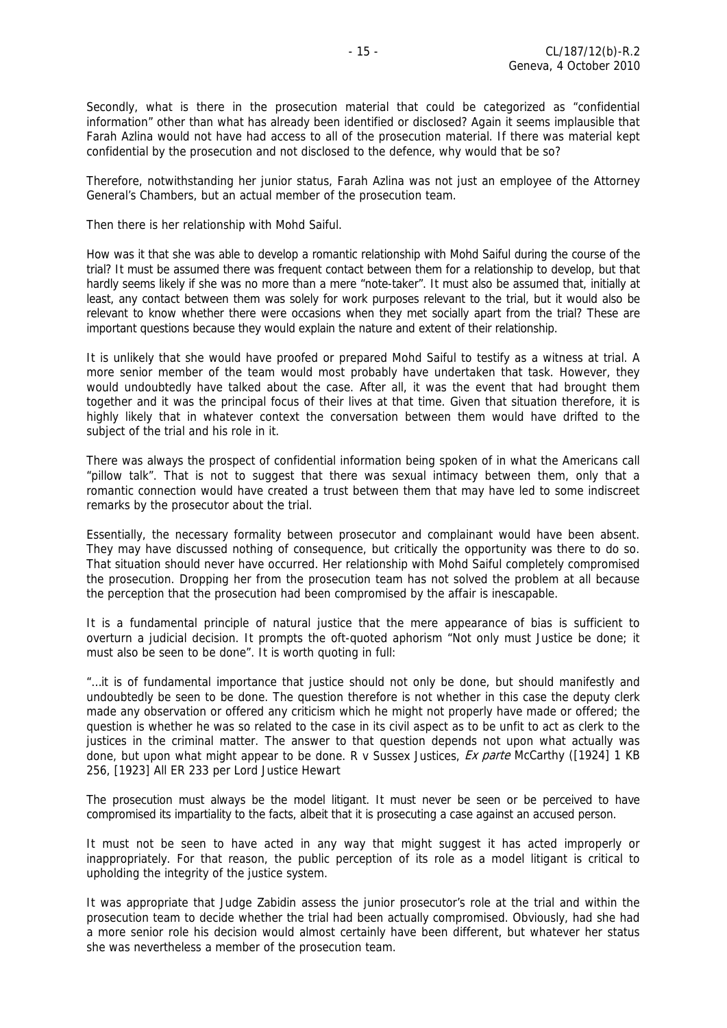Secondly, what is there in the prosecution material that could be categorized as "confidential information" other than what has already been identified or disclosed? Again it seems implausible that Farah Azlina would not have had access to all of the prosecution material. If there was material kept confidential by the prosecution and not disclosed to the defence, why would that be so?

Therefore, notwithstanding her junior status, Farah Azlina was not just an employee of the Attorney General's Chambers, but an actual member of the prosecution team.

Then there is her relationship with Mohd Saiful.

How was it that she was able to develop a romantic relationship with Mohd Saiful during the course of the trial? It must be assumed there was frequent contact between them for a relationship to develop, but that hardly seems likely if she was no more than a mere "note-taker". It must also be assumed that, initially at least, any contact between them was solely for work purposes relevant to the trial, but it would also be relevant to know whether there were occasions when they met socially apart from the trial? These are important questions because they would explain the nature and extent of their relationship.

It is unlikely that she would have proofed or prepared Mohd Saiful to testify as a witness at trial. A more senior member of the team would most probably have undertaken that task. However, they would undoubtedly have talked about the case. After all, it was the event that had brought them together and it was the principal focus of their lives at that time. Given that situation therefore, it is highly likely that in whatever context the conversation between them would have drifted to the subject of the trial and his role in it.

There was always the prospect of confidential information being spoken of in what the Americans call "pillow talk". That is not to suggest that there was sexual intimacy between them, only that a romantic connection would have created a trust between them that may have led to some indiscreet remarks by the prosecutor about the trial.

Essentially, the necessary formality between prosecutor and complainant would have been absent. They may have discussed nothing of consequence, but critically the opportunity was there to do so. That situation should never have occurred. Her relationship with Mohd Saiful completely compromised the prosecution. Dropping her from the prosecution team has not solved the problem at all because the perception that the prosecution had been compromised by the affair is inescapable.

It is a fundamental principle of natural justice that the mere appearance of bias is sufficient to overturn a judicial decision. It prompts the oft-quoted aphorism "Not only must Justice be done; it must also be seen to be done". It is worth quoting in full:

"…it is of fundamental importance that justice should not only be done, but should manifestly and undoubtedly be seen to be done. The question therefore is not whether in this case the deputy clerk made any observation or offered any criticism which he might not properly have made or offered; the question is whether he was so related to the case in its civil aspect as to be unfit to act as clerk to the justices in the criminal matter. The answer to that question depends not upon what actually was done, but upon what might appear to be done. R v Sussex Justices, *[Ex parte](http://en.wikipedia.org/wiki/Ex_parte)* McCarthy ([1924] 1 KB 256, [1923] All ER 233 per Lord Justice Hewart

The prosecution must always be the model litigant. It must never be seen or be perceived to have compromised its impartiality to the facts, albeit that it is prosecuting a case against an accused person.

It must not be seen to have acted in any way that might suggest it has acted improperly or inappropriately. For that reason, the public perception of its role as a model litigant is critical to upholding the integrity of the justice system.

It was appropriate that Judge Zabidin assess the junior prosecutor's role at the trial and within the prosecution team to decide whether the trial had been actually compromised. Obviously, had she had a more senior role his decision would almost certainly have been different, but whatever her status she was nevertheless a member of the prosecution team.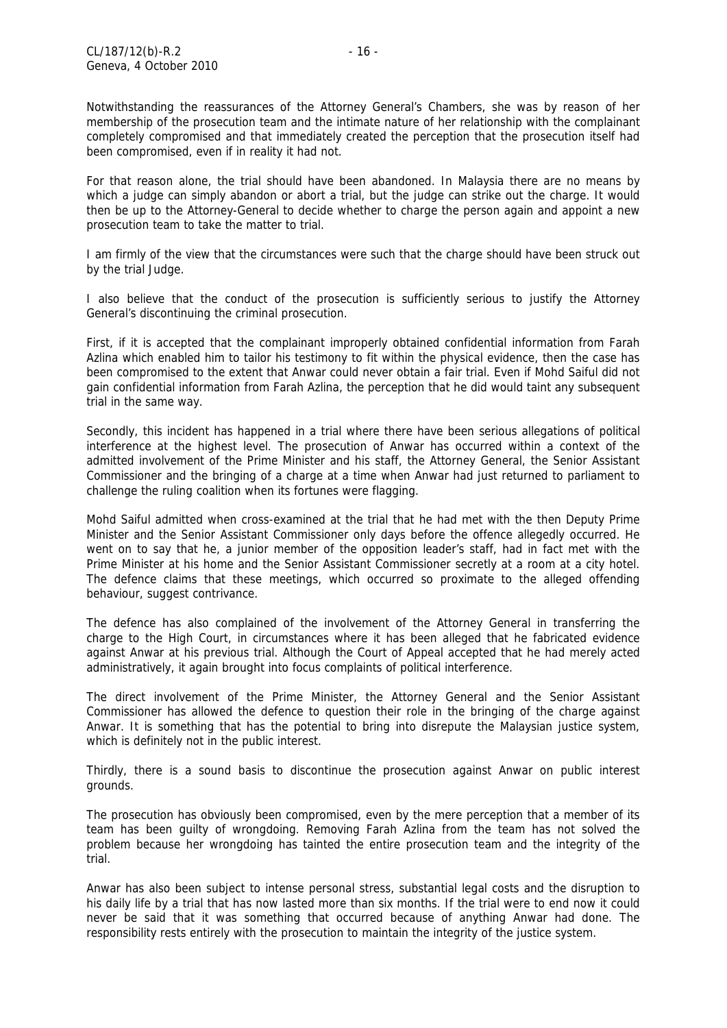Notwithstanding the reassurances of the Attorney General's Chambers, she was by reason of her membership of the prosecution team and the intimate nature of her relationship with the complainant completely compromised and that immediately created the perception that the prosecution itself had been compromised, even if in reality it had not.

For that reason alone, the trial should have been abandoned. In Malaysia there are no means by which a judge can simply abandon or abort a trial, but the judge can strike out the charge. It would then be up to the Attorney-General to decide whether to charge the person again and appoint a new prosecution team to take the matter to trial.

I am firmly of the view that the circumstances were such that the charge should have been struck out by the trial Judge.

I also believe that the conduct of the prosecution is sufficiently serious to justify the Attorney General's discontinuing the criminal prosecution.

First, if it is accepted that the complainant improperly obtained confidential information from Farah Azlina which enabled him to tailor his testimony to fit within the physical evidence, then the case has been compromised to the extent that Anwar could never obtain a fair trial. Even if Mohd Saiful did not gain confidential information from Farah Azlina, the perception that he did would taint any subsequent trial in the same way.

Secondly, this incident has happened in a trial where there have been serious allegations of political interference at the highest level. The prosecution of Anwar has occurred within a context of the admitted involvement of the Prime Minister and his staff, the Attorney General, the Senior Assistant Commissioner and the bringing of a charge at a time when Anwar had just returned to parliament to challenge the ruling coalition when its fortunes were flagging.

Mohd Saiful admitted when cross-examined at the trial that he had met with the then Deputy Prime Minister and the Senior Assistant Commissioner only days before the offence allegedly occurred. He went on to say that he, a junior member of the opposition leader's staff, had in fact met with the Prime Minister at his home and the Senior Assistant Commissioner secretly at a room at a city hotel. The defence claims that these meetings, which occurred so proximate to the alleged offending behaviour, suggest contrivance.

The defence has also complained of the involvement of the Attorney General in transferring the charge to the High Court, in circumstances where it has been alleged that he fabricated evidence against Anwar at his previous trial. Although the Court of Appeal accepted that he had merely acted administratively, it again brought into focus complaints of political interference.

The direct involvement of the Prime Minister, the Attorney General and the Senior Assistant Commissioner has allowed the defence to question their role in the bringing of the charge against Anwar. It is something that has the potential to bring into disrepute the Malaysian justice system, which is definitely not in the public interest.

Thirdly, there is a sound basis to discontinue the prosecution against Anwar on public interest grounds.

The prosecution has obviously been compromised, even by the mere perception that a member of its team has been guilty of wrongdoing. Removing Farah Azlina from the team has not solved the problem because her wrongdoing has tainted the entire prosecution team and the integrity of the trial.

Anwar has also been subject to intense personal stress, substantial legal costs and the disruption to his daily life by a trial that has now lasted more than six months. If the trial were to end now it could never be said that it was something that occurred because of anything Anwar had done. The responsibility rests entirely with the prosecution to maintain the integrity of the justice system.